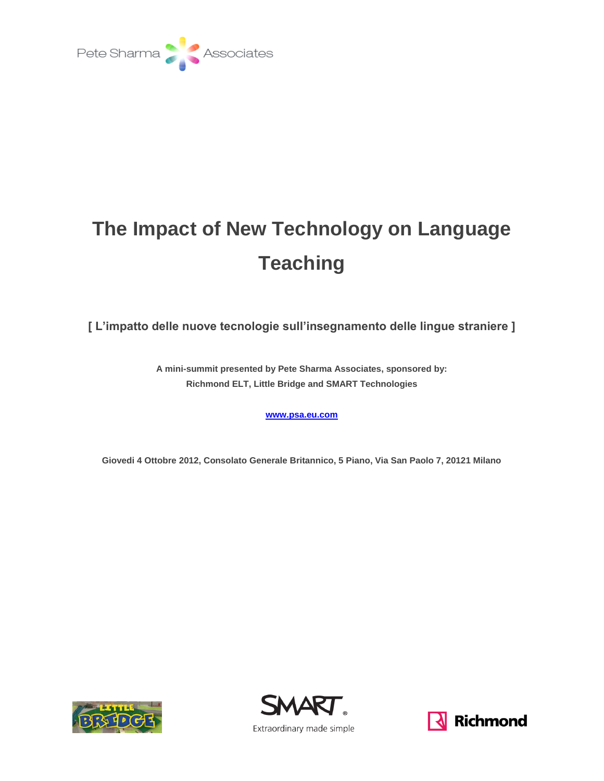

## **The Impact of New Technology on Language Teaching**

**[ L'impatto delle nuove tecnologie sull'insegnamento delle lingue straniere ]**

**A mini-summit presented by Pete Sharma Associates, sponsored by: Richmond ELT, Little Bridge and SMART Technologies**

**[www.psa.eu.com](http://www.psa.eu.com/)**

**Giovedi 4 Ottobre 2012, Consolato Generale Britannico, 5 Piano, Via San Paolo 7, 20121 Milano**





**N** Richmond

Extraordinary made simple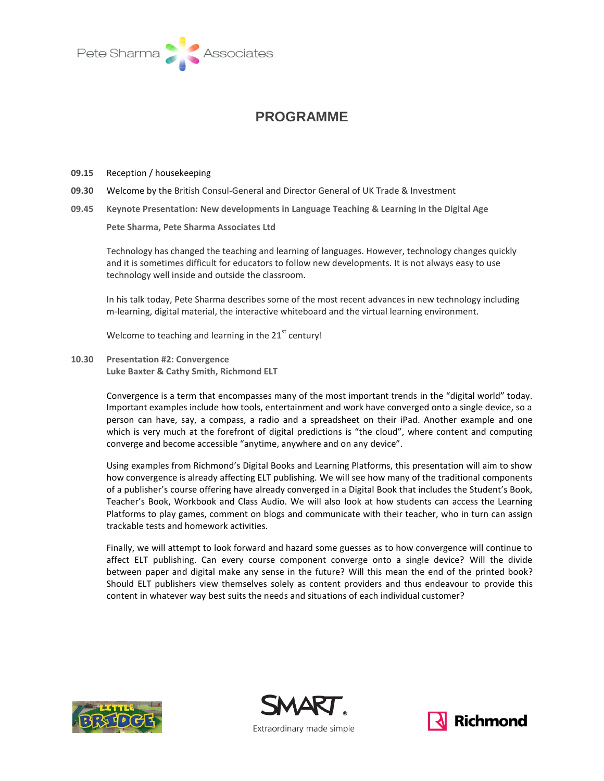

## **PROGRAMME**

- **09.15** Reception / housekeeping
- **09.30** Welcome by the British Consul-General and Director General of UK Trade & Investment
- **09.45 Keynote Presentation: New developments in Language Teaching & Learning in the Digital Age**

**Pete Sharma, Pete Sharma Associates Ltd**

Technology has changed the teaching and learning of languages. However, technology changes quickly and it is sometimes difficult for educators to follow new developments. It is not always easy to use technology well inside and outside the classroom.

In his talk today, Pete Sharma describes some of the most recent advances in new technology including m-learning, digital material, the interactive whiteboard and the virtual learning environment.

Welcome to teaching and learning in the  $21<sup>st</sup>$  century!

**10.30 Presentation #2: Convergence Luke Baxter & Cathy Smith, Richmond ELT**

> Convergence is a term that encompasses many of the most important trends in the "digital world" today. Important examples include how tools, entertainment and work have converged onto a single device, so a person can have, say, a compass, a radio and a spreadsheet on their iPad. Another example and one which is very much at the forefront of digital predictions is "the cloud", where content and computing converge and become accessible "anytime, anywhere and on any device".

> Using examples from Richmond's Digital Books and Learning Platforms, this presentation will aim to show how convergence is already affecting ELT publishing. We will see how many of the traditional components of a publisher's course offering have already converged in a Digital Book that includes the Student's Book, Teacher's Book, Workbook and Class Audio. We will also look at how students can access the Learning Platforms to play games, comment on blogs and communicate with their teacher, who in turn can assign trackable tests and homework activities.

> Finally, we will attempt to look forward and hazard some guesses as to how convergence will continue to affect ELT publishing. Can every course component converge onto a single device? Will the divide between paper and digital make any sense in the future? Will this mean the end of the printed book? Should ELT publishers view themselves solely as content providers and thus endeavour to provide this content in whatever way best suits the needs and situations of each individual customer?